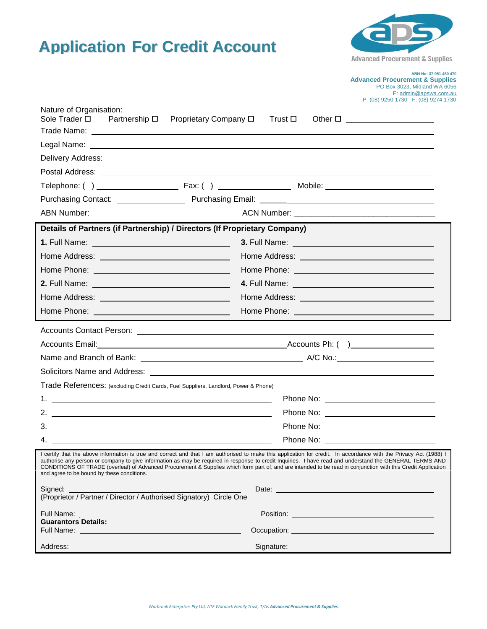



**Advanced Procurement & Supplies**

|                                                                                                                 | PO Box 3023, Midland WA 6056<br>E: admin@apswa.com.au                                                                                                                                                                                                                                                                                                                                                                                                                                           |
|-----------------------------------------------------------------------------------------------------------------|-------------------------------------------------------------------------------------------------------------------------------------------------------------------------------------------------------------------------------------------------------------------------------------------------------------------------------------------------------------------------------------------------------------------------------------------------------------------------------------------------|
| Nature of Organisation:                                                                                         | P. (08) 9250 1730 F. (08) 9274 1730                                                                                                                                                                                                                                                                                                                                                                                                                                                             |
| Sole Trader □                                                                                                   | Partnership □ Proprietary Company □<br>Other $\square$<br>Trust ロ                                                                                                                                                                                                                                                                                                                                                                                                                               |
|                                                                                                                 |                                                                                                                                                                                                                                                                                                                                                                                                                                                                                                 |
|                                                                                                                 |                                                                                                                                                                                                                                                                                                                                                                                                                                                                                                 |
|                                                                                                                 | Delivery Address: National Address: National Address of Address and Address of Address of Address of Address o                                                                                                                                                                                                                                                                                                                                                                                  |
|                                                                                                                 |                                                                                                                                                                                                                                                                                                                                                                                                                                                                                                 |
|                                                                                                                 |                                                                                                                                                                                                                                                                                                                                                                                                                                                                                                 |
|                                                                                                                 |                                                                                                                                                                                                                                                                                                                                                                                                                                                                                                 |
|                                                                                                                 |                                                                                                                                                                                                                                                                                                                                                                                                                                                                                                 |
|                                                                                                                 | Details of Partners (if Partnership) / Directors (If Proprietary Company)                                                                                                                                                                                                                                                                                                                                                                                                                       |
|                                                                                                                 |                                                                                                                                                                                                                                                                                                                                                                                                                                                                                                 |
|                                                                                                                 |                                                                                                                                                                                                                                                                                                                                                                                                                                                                                                 |
| Home Phone: New York Contract Phone: New York Contract Phone: New York Contract Phone Contract Phone Contract P |                                                                                                                                                                                                                                                                                                                                                                                                                                                                                                 |
|                                                                                                                 |                                                                                                                                                                                                                                                                                                                                                                                                                                                                                                 |
|                                                                                                                 | Home Address: North American State Communication of the Address:                                                                                                                                                                                                                                                                                                                                                                                                                                |
|                                                                                                                 |                                                                                                                                                                                                                                                                                                                                                                                                                                                                                                 |
|                                                                                                                 |                                                                                                                                                                                                                                                                                                                                                                                                                                                                                                 |
|                                                                                                                 |                                                                                                                                                                                                                                                                                                                                                                                                                                                                                                 |
|                                                                                                                 |                                                                                                                                                                                                                                                                                                                                                                                                                                                                                                 |
|                                                                                                                 |                                                                                                                                                                                                                                                                                                                                                                                                                                                                                                 |
|                                                                                                                 |                                                                                                                                                                                                                                                                                                                                                                                                                                                                                                 |
| Trade References: (excluding Credit Cards, Fuel Suppliers, Landlord, Power & Phone)                             |                                                                                                                                                                                                                                                                                                                                                                                                                                                                                                 |
|                                                                                                                 |                                                                                                                                                                                                                                                                                                                                                                                                                                                                                                 |
|                                                                                                                 |                                                                                                                                                                                                                                                                                                                                                                                                                                                                                                 |
| $3.$ $\overline{\phantom{a}}$                                                                                   |                                                                                                                                                                                                                                                                                                                                                                                                                                                                                                 |
| 4.                                                                                                              | Phone No:                                                                                                                                                                                                                                                                                                                                                                                                                                                                                       |
| and agree to be bound by these conditions.                                                                      | I certify that the above information is true and correct and that I am authorised to make this application for credit. In accordance with the Privacy Act (1988) I<br>authorise any person or company to give information as may be required in response to credit Inquiries. I have read and understand the GENERAL TERMS AND<br>CONDITIONS OF TRADE (overleaf) of Advanced Procurement & Supplies which form part of, and are intended to be read in conjunction with this Credit Application |
| Signed:                                                                                                         |                                                                                                                                                                                                                                                                                                                                                                                                                                                                                                 |
| (Proprietor / Partner / Director / Authorised Signatory) Circle One                                             | Date: <u>Date:</u> 2004                                                                                                                                                                                                                                                                                                                                                                                                                                                                         |
| Full Name:                                                                                                      |                                                                                                                                                                                                                                                                                                                                                                                                                                                                                                 |
| <b>Guarantors Details:</b>                                                                                      |                                                                                                                                                                                                                                                                                                                                                                                                                                                                                                 |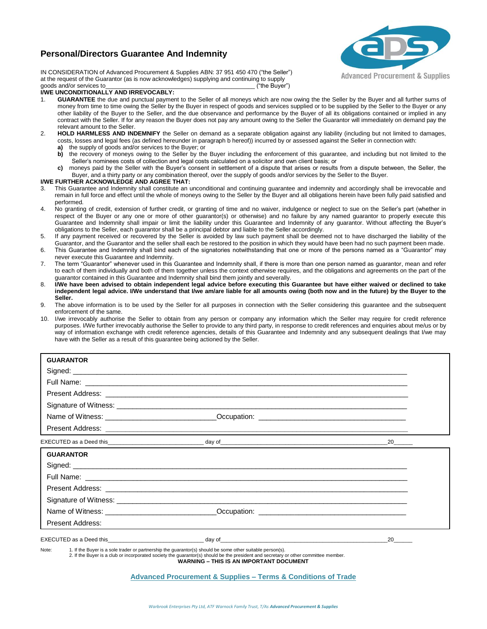# **Personal/Directors Guarantee And Indemnity**



IN CONSIDERATION of Advanced Procurement & Supplies ABN: 37 951 450 470 ("the Seller") at the request of the Guarantor (as is now acknowledges) supplying and continuing to supply goods and/or services to\_\_\_\_\_\_\_\_\_\_\_\_\_\_\_\_\_\_\_\_\_\_\_\_\_\_\_\_\_\_\_\_\_\_\_\_\_\_\_\_\_\_\_\_\_ ("the Buyer")

## **I/WE UNCONDITIONALLY AND IRREVOCABLY:**

- 1. **GUARANTEE** the due and punctual payment to the Seller of all moneys which are now owing the the Seller by the Buyer and all further sums of money from time to time owing the Seller by the Buyer in respect of goods and services supplied or to be supplied by the Seller to the Buyer or any other liability of the Buyer to the Seller, and the due observance and performance by the Buyer of all its obligations contained or implied in any contract with the Seller. If for any reason the Buyer does not pay any amount owing to the Seller the Guarantor will immediately on demand pay the relevant amount to the Seller.
- 2. **HOLD HARMLESS AND INDEMNIFY** the Seller on demand as a separate obligation against any liability (including but not limited to damages, costs, losses and legal fees (as defined hereunder in paragraph b hereof)) incurred by or assessed against the Seller in connection with:
	- **a)** the supply of goods and/or services to the Buyer; or
	- **b)** the recovery of moneys owing to the Seller by the Buyer including the enforcement of this guarantee, and including but not limited to the Seller's nominees costs of collection and legal costs calculated on a solicitor and own client basis; or
	- **c)** moneys paid by the Seller with the Buyer's consent in settlement of a dispute that arises or results from a dispute between, the Seller, the Buyer, and a thirty party or any combination thereof, over the supply of goods and/or services by the Seller to the Buyer.

## **I/WE FURTHER ACKNOWLEDGE AND AGREE THAT:**

- 3. This Guarantee and Indemnity shall constitute an unconditional and continuing guarantee and indemnity and accordingly shall be irrevocable and remain in full force and effect until the whole of moneys owing to the Seller by the Buyer and all obligations herein have been fully paid satisfied and performed.
- 4. No granting of credit, extension of further credit, or granting of time and no waiver, indulgence or neglect to sue on the Seller's part (whether in respect of the Buyer or any one or more of other guarantor(s) or otherwise) and no failure by any named guarantor to properly execute this Guarantee and Indemnity shall impair or limit the liability under this Guarantee and Indemnity of any guarantor. Without affecting the Buyer's obligations to the Seller, each guarantor shall be a principal debtor and liable to the Seller accordingly.
- 5. If any payment received or recovered by the Seller is avoided by law such payment shall be deemed not to have discharged the liability of the Guarantor, and the Guarantor and the seller shall each be restored to the position in which they would have been had no such payment been made.
- 6. This Guarantee and Indemnity shall bind each of the signatories notwithstanding that one or more of the persons named as a "Guarantor" may never execute this Guarantee and Indemnity.
- 7. The term "Guarantor" whenever used in this Guarantee and Indemnity shall, if there is more than one person named as guarantor, mean and refer to each of them individually and both of them together unless the context otherwise requires, and the obligations and agreements on the part of the guarantor contained in this Guarantee and Indemnity shall bind them jointly and severally.
- 8. **I/We have been advised to obtain independent legal advice before executing this Guarantee but have either waived or declined to take independent legal advice. I/We understand that I/we am/are liable for all amounts owing (both now and in the future) by the Buyer to the Seller.**
- 9. The above information is to be used by the Seller for all purposes in connection with the Seller considering this guarantee and the subsequent enforcement of the same.
- 10. I/we irrevocably authorise the Seller to obtain from any person or company any information which the Seller may require for credit reference purposes. I/We further irrevocably authorise the Seller to provide to any third party, in response to credit references and enquiries about me/us or by way of information exchange with credit reference agencies, details of this Guarantee and Indemnity and any subsequent dealings that I/we may have with the Seller as a result of this guarantee being actioned by the Seller.

| <b>GUARANTOR</b>                                                                                                   |                                                                                                                                                                                                                                      |                          |  |
|--------------------------------------------------------------------------------------------------------------------|--------------------------------------------------------------------------------------------------------------------------------------------------------------------------------------------------------------------------------------|--------------------------|--|
|                                                                                                                    |                                                                                                                                                                                                                                      |                          |  |
|                                                                                                                    |                                                                                                                                                                                                                                      |                          |  |
|                                                                                                                    |                                                                                                                                                                                                                                      |                          |  |
|                                                                                                                    |                                                                                                                                                                                                                                      |                          |  |
|                                                                                                                    |                                                                                                                                                                                                                                      |                          |  |
|                                                                                                                    |                                                                                                                                                                                                                                      |                          |  |
|                                                                                                                    |                                                                                                                                                                                                                                      | $20$ <sub>________</sub> |  |
| <b>GUARANTOR</b>                                                                                                   |                                                                                                                                                                                                                                      |                          |  |
|                                                                                                                    |                                                                                                                                                                                                                                      |                          |  |
|                                                                                                                    |                                                                                                                                                                                                                                      |                          |  |
|                                                                                                                    |                                                                                                                                                                                                                                      |                          |  |
|                                                                                                                    |                                                                                                                                                                                                                                      |                          |  |
|                                                                                                                    |                                                                                                                                                                                                                                      |                          |  |
|                                                                                                                    | Present Address: <u>December 2008 and Communications and Communications and Communications and Communications and Communications and Communications and Communications and Communications and Communications and Communications </u> |                          |  |
|                                                                                                                    |                                                                                                                                                                                                                                      | 20                       |  |
| Note:<br>1. If the Buyer is a sole trader or partnership the guarantor(s) should be some other suitable person(s). | 2. If the Buyer is a club or incorporated society the quarantor(s) should be the president and secretary or other committee member.<br><b>WARNING - THIS IS AN IMPORTANT DOCUMENT</b>                                                |                          |  |

**Advanced Procurement & Supplies – Terms & Conditions of Trade**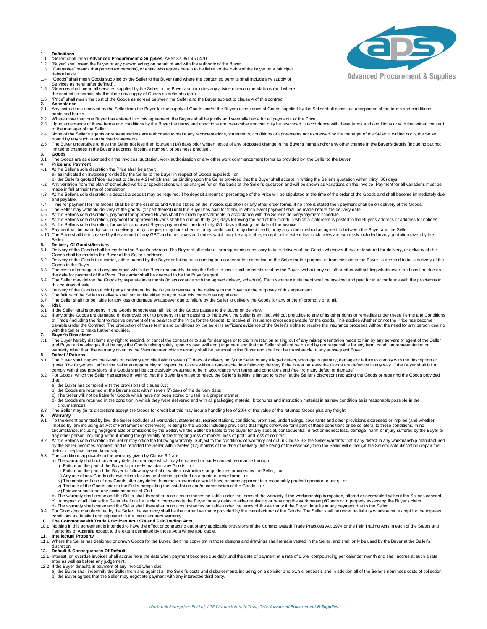- **1. Definitions**
- 1.1 "Seller" shall mean **Advanced Procurement & Supplies**, ABN: 37 951 450 470<br>1.2 "Buver" shall mean the Buver or any person acting on behalf of and with the auth
- 1.2 "Buyer" shall mean the Buyer or any person acting on behalf of and with the authority of the Buyer.<br>1.3 "Guarantee" means that person (or persons), or entity who agrees herein to be liable for the debts of the Buyer on
- debtor basis. 1.4 "Goods" shall mean Goods supplied by the Seller to the Buyer (and where the context so permits shall include any supply of
- Services as hereinafter defined).
- 1.5 "Services shall mean all services supplied by the Seller to the Buyer and includes any advice or recommendations (and where
- the context so permits shall include any supply of Goods as defined supra). 1.6 "Price" shall mean the cost of the Goods as agreed between the Seller and the Buyer subject to clause 4 of this contract.
- **2. Acceptance**
- Any instructions received by the Seller from the Buyer for the supply of Goods and/or the Buyers acceptance of Goods supplied by the Seller shall constitute acceptance of the terms and conditions contained herein.
- 
- 2.2 Where more than one Buyer has entered into this agreement, the Buyers shall be jointly and severally liable for all payments of the Price.<br>2.3 Upon acceptance of these terms and conditions by the Buyer the terms and co of the manager of the Seller.<br>2.4 None of the Seller's agents or representatives are authorised to make any representations, statements, conditions or agreements not expressed by the manager of the Seller in writing nor is
- 
- bound by any such unauthorised statements.<br>2.5 The Buyer undertakes to give the Seller not less than fourteen (14) days prior written notice of any proposed change in the Buyer's name and/or any other change in the Buyer'
- **3. Goods**
- The Goods are as described on the invoices, quotation, work authorisation or any other work commencement forms as provided by the Seller to the Buyer.
- **4 Price and Payment**
- 4.1 At the Seller's sole discretion the Price shall be either; a) as indicated on invoices provided by the Seller to the Buyer in respect of Goods supplied: or
- 
- b) the Seller's quoted Price (subject to clause 4.2) which shall be binding upon the Seller provided that the Buyer shall accept in writing the Seller's quotation within thirty (30) days.<br>4.2 Any variation from the plan of made in full at their time of completion. 4.3 At the Seller's sole discretion a deposit a deposit may be required. The deposit amount or percentage of the Price will be stipulated at the time of the order of the Goods and shall become immediately due
- and payable.
- 4.4 Time for payment for the Goods shall be of the essence and will be stated on the invoice, quotation or any other order forms. If no time is stated then payment shall be on delivery of the Goods.<br>4.5 The Seller may with
- 4.6 At the Seller's sole discretion, payment for approved Buyers shall be made by instalments in accordance with the Seller's delivery/payment schedule.<br>4.7 At the Seller's sole discretion, payment for approved Buyer's sha
- 4.7 At the Seller's sole discretion, payment for approved Buyer's shall be due on thirty (30) days following the end of the month in which a statement is posted to the Buyer's address or address for notices.<br>4.8 At the Sel
- 
- 4.9 Payment will be made by cash on delivery, or by cheque, or by bank cheque, or by credit card, or by direct credit, or by any other method as agreed to between the Buyer and the Seller.<br>4.10 The Price shall be increased Seller.

#### **5. Delivery Of Goods/Services**

- 5.1 Delivery of the Goods shall be made to the Buyer's address. The Buyer shall make all arrangements necessary to take delivery of the Goods whenever they are tendered for delivery, or delivery of the Goods shall be made to the Buyer at the Seller's address.
- 5.2 Delivery of the Goods to a carrier, either named by the Buyer or failing such naming to a carrier at the discretion of the Seller for the purpose of transmission to the Buyer, is deemed to be a delivery of the Goods to the Buyer.
- 5.3 The costs of carriage and any insurance which the Buyer reasonably directs the Seller to incur shall be reimbursed by the Buyer (without any set-off or other withholding whatsoever) and shall be due on<br>the date for pay
- 5.4 The Seller may deliver the Goods by separate instalments (in accordance with the agreed delivery schedule). Each separate instalment shall be invoiced and paid for in accordance with the provisions in the contract of sale.
- 
- 5.5 Delivery of the Goods to a third party nominated by the Buyer is deemed to be delivery to the Buyer for the purposes of this agreement.<br>5.6 The failure of the Seller to delivery shall not entitle either party to treat
- 
- 
- 6. Risk<br>6.2 If the Golds are damaged or destroyed prior to property in them passing to the Buyer, the Seller is entitled, without prejudice to any of its other rights or remedies under these Terms and Conditions<br>6.2 If any with the Seller to make further enquiries.

# **7. Buyer's Disclaimer**<br>**7.1** The Buyer bereby dis

7.1 The Buyer hereby disclaims any right to rescind, or cancel the contract or to sue for damages or to claim restitution arising out of any misrepresentation made to him by any servant or agent of the Seller All and Buys

# **8. Defect / Returns**

- 8.1 The Buyer shall inspect the Goods on delivery and shall within seven (7) days of delivery notify the Seller of any alleged defect, shortage in quantity, damage or failure to comply with the description or qualte. The B
- 8.2 For Goods, which the Seller has agreed in writing that the Buyer is entitled to reject, the Seller's liability is limited to rather (at the Seller's discretion) replacing the Goods or repairing the Goods provided that:
	-
	-
	- a) the Buyer has complied with the provisions of clause 8.1;<br>b) the Goods are returned at the Buyer's cost within seven (7) days of the delivery date;<br>c) The Seller will not be liable for Goods which have not been stored o
	- d) the Goods are returned in the condition in which they were delivered and with all packaging material, brochures and instruction material in as new condition as is reasonable possible in the circumstances.

### 8.3 The Seller may (in its discretion) accept the Goods for credit but this may incur a handling fee of 20% of the value of the returned Goods plus any freight.

- 
- **9. Warranty** 9.1 To the extent permitted by law, the Seller excludes all warranties, statements, representations, conditions, promises, undertakings, covenants and other provisions expressed or implied (and whether<br>implied by lam inclu
- circumstance, including negligent acts or omissions by the Seller, will the Seller be liable to the buyer for any special, consequential, direct or indirect loss, damage, harm or injury suffered by the Buyer or<br>any other p by the Seller becomes apparent and is reported the Seller within twelve (12) months of the date of delivery (time being of the essence) then the Seller will either (at the Seller's sole discretion) repair the<br>defect or rep
- -
	-
	-
	-
- 9.3 The conditions applicable to the warranty given by Clause 9.1 are:<br>
a) The warranty shall not cover any defect or damage which may be caused or partly caused by or arise through;<br>
i) Failure on the part of the Buyer to
	-
	- vi) Fair wear and tear, any accident or act of God.
	- b) The warranty shall cease and the Seller shall thereafter in no circumstances be liable under the terms of the warranty if the workmanship is repaired, altered or overhauled without the Seller's consent.
	- c) In respect of all claims the Seller shall not be liable to compensate the Buyer for any delay in either replacing or repairing the workmanship/Goods or in properly assessing the Buyer's claim.<br>d) The warranty shall ceas
- 9.4 For Goods not manufactured by the Seller, the warranty shall be the current warranty provided by the manufacturer of the Goods. The Seller shall be under no liability whatsoever, except for the express<br>conditions as de

- 10.1 Nothing in this agreement is intended to have the effect of contracting out of any applicable provisions of the Commonwealth Trade Practices Act 1974 or the Fair Trading Acts in each of the States and<br>Territories of A
- 
- 11. Intellectual Property<br>11.1 Where the Seller has designed or drawn Goods for the Buyer, then the copyright in those designs and drawings shall remain vested in the Seller, and shall only be used by the Buyer at the Sell discretion.

# **12. Default & Consequences Of Default**

- 12.1 Interest on overdue invoices shall accrue from the date when payment becomes due daily until the date of payment at a rate of 2.5% compounding per calendar month and shall accrue at such a rate after as well as before any judgement. 12.2 If the Buyer defaults in payment of any invoice when due:
- a) the Buyer shall indemnify the Seller from and against all the Seller's costs and disbursements including on a solicitor and own client basis and in addition all of the Seller's nominees costs of collection.<br>b) the Buyer